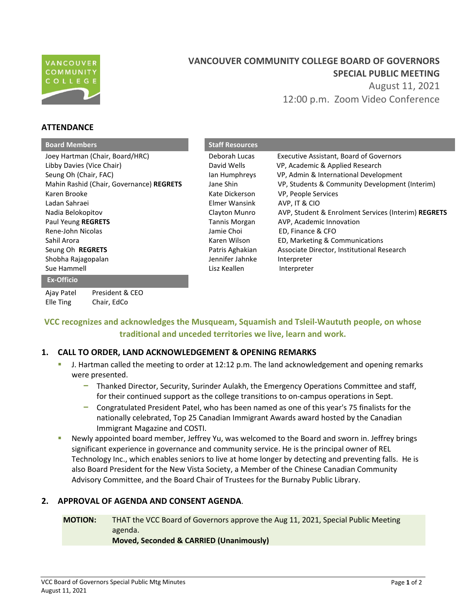

**ATTENDANCE**

Elle Ting Chair, EdCo

# **VANCOUVER COMMUNITY COLLEGE BOARD OF GOVERNORS SPECIAL PUBLIC MEETING**  August 11, 2021

12:00 p.m. Zoom Video Conference

| <b>Board Members</b>                     | <b>Staff Resources</b> |                                                     |
|------------------------------------------|------------------------|-----------------------------------------------------|
| Joey Hartman (Chair, Board/HRC)          | Deborah Lucas          | <b>Executive Assistant, Board of Governors</b>      |
| Libby Davies (Vice Chair)                | David Wells            | VP, Academic & Applied Research                     |
| Seung Oh (Chair, FAC)                    | lan Humphreys          | VP, Admin & International Development               |
| Mahin Rashid (Chair, Governance) REGRETS | Jane Shin              | VP, Students & Community Development (Interim)      |
| Karen Brooke                             | Kate Dickerson         | VP, People Services                                 |
| Ladan Sahraei                            | Elmer Wansink          | AVP, IT & CIO                                       |
| Nadia Belokopitov                        | Clayton Munro          | AVP, Student & Enrolment Services (Interim) REGRETS |
| Paul Yeung REGRETS                       | Tannis Morgan          | AVP, Academic Innovation                            |
| Rene-John Nicolas                        | Jamie Choi             | ED, Finance & CFO                                   |
| Sahil Arora                              | Karen Wilson           | ED, Marketing & Communications                      |
| Seung Oh REGRETS                         | Patris Aghakian        | Associate Director, Institutional Research          |
| Shobha Rajagopalan                       | Jennifer Jahnke        | Interpreter                                         |
| Sue Hammell                              | Lisz Keallen           | Interpreter                                         |
| <b>Ex-Officio</b>                        |                        |                                                     |
| President & CEO<br>Ajay Patel            |                        |                                                     |

# **VCC recognizes and acknowledges the Musqueam, Squamish and Tsleil-Waututh people, on whose traditional and unceded territories we live, learn and work.**

## **1. CALL TO ORDER, LAND ACKNOWLEDGEMENT & OPENING REMARKS**

- J. Hartman called the meeting to order at 12:12 p.m. The land acknowledgement and opening remarks were presented.
	- Thanked Director, Security, Surinder Aulakh, the Emergency Operations Committee and staff, for their continued support as the college transitions to on-campus operations in Sept.
	- Congratulated President Patel, who has been named as one of this year's 75 finalists for the nationally celebrated, Top 25 Canadian Immigrant Awards award hosted by the Canadian Immigrant Magazine and COSTI.
- Newly appointed board member, Jeffrey Yu, was welcomed to the Board and sworn in. Jeffrey brings significant experience in governance and community service. He is the principal owner of REL Technology Inc., which enables seniors to live at home longer by detecting and preventing falls. He is also Board President for the New Vista Society, a Member of the Chinese Canadian Community Advisory Committee, and the Board Chair of Trustees for the Burnaby Public Library.

## **2. APPROVAL OF AGENDA AND CONSENT AGENDA**.

**MOTION:** THAT the VCC Board of Governors approve the Aug 11, 2021, Special Public Meeting agenda. **Moved, Seconded & CARRIED (Unanimously)**